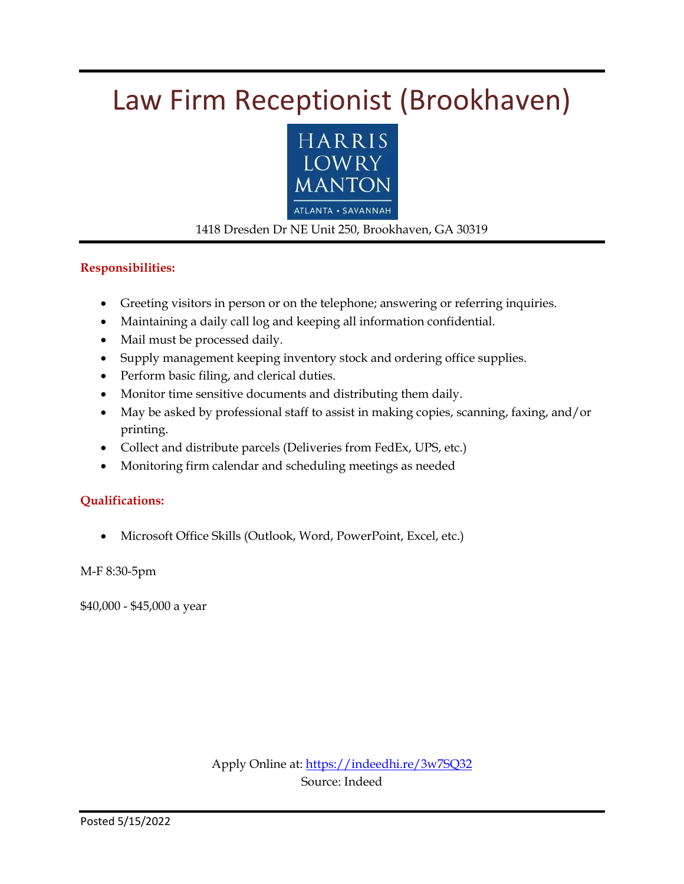# Law Firm Receptionist (Brookhaven)



#### 1418 Dresden Dr NE Unit 250, Brookhaven, GA 30319

#### **Responsibilities:**

- Greeting visitors in person or on the telephone; answering or referring inquiries.
- Maintaining a daily call log and keeping all information confidential.
- Mail must be processed daily.
- Supply management keeping inventory stock and ordering office supplies.
- Perform basic filing, and clerical duties.
- Monitor time sensitive documents and distributing them daily.
- May be asked by professional staff to assist in making copies, scanning, faxing, and/or printing.
- Collect and distribute parcels (Deliveries from FedEx, UPS, etc.)
- Monitoring firm calendar and scheduling meetings as needed

#### **Qualifications:**

Microsoft Office Skills (Outlook, Word, PowerPoint, Excel, etc.)

M-F 8:30-5pm

\$40,000 - \$45,000 a year

Apply Online at:<https://indeedhi.re/3w7SQ32> Source: Indeed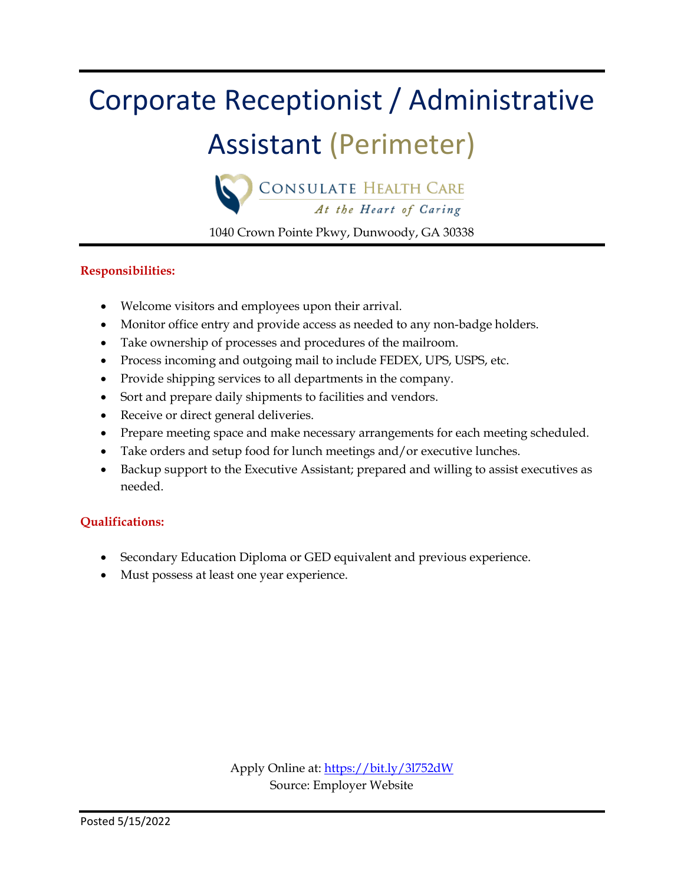# Corporate Receptionist / Administrative

## Assistant (Perimeter)



1040 Crown Pointe Pkwy, Dunwoody, GA 30338

#### **Responsibilities:**

- Welcome visitors and employees upon their arrival.
- Monitor office entry and provide access as needed to any non-badge holders.
- Take ownership of processes and procedures of the mailroom.
- Process incoming and outgoing mail to include FEDEX, UPS, USPS, etc.
- Provide shipping services to all departments in the company.
- Sort and prepare daily shipments to facilities and vendors.
- Receive or direct general deliveries.
- Prepare meeting space and make necessary arrangements for each meeting scheduled.
- Take orders and setup food for lunch meetings and/or executive lunches.
- Backup support to the Executive Assistant; prepared and willing to assist executives as needed.

#### **Qualifications:**

- Secondary Education Diploma or GED equivalent and previous experience.
- Must possess at least one year experience.

Apply Online at:<https://bit.ly/3l752dW> Source: Employer Website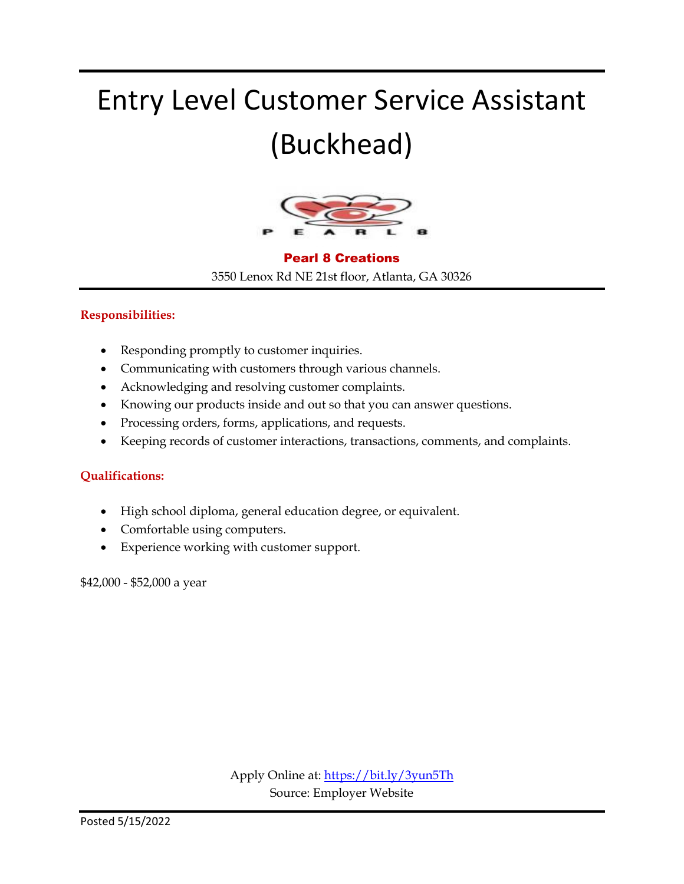# Entry Level Customer Service Assistant (Buckhead)



#### Pearl 8 Creations

3550 Lenox Rd NE 21st floor, Atlanta, GA 30326

#### **Responsibilities:**

- Responding promptly to customer inquiries.
- Communicating with customers through various channels.
- Acknowledging and resolving customer complaints.
- Knowing our products inside and out so that you can answer questions.
- Processing orders, forms, applications, and requests.
- Keeping records of customer interactions, transactions, comments, and complaints.

#### **Qualifications:**

- High school diploma, general education degree, or equivalent.
- Comfortable using computers.
- Experience working with customer support.

\$42,000 - \$52,000 a year

Apply Online at:<https://bit.ly/3yun5Th> Source: Employer Website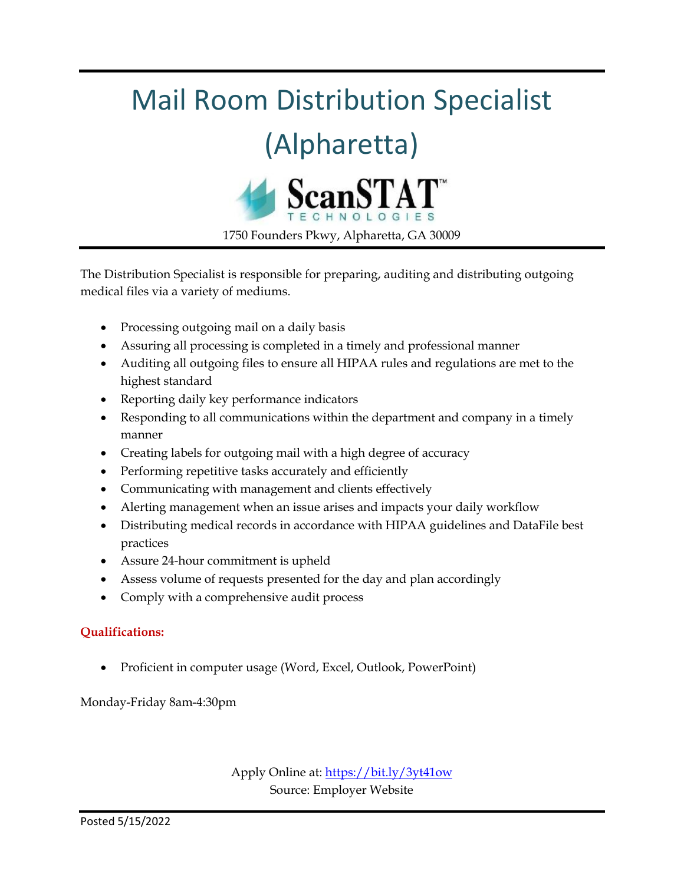# Mail Room Distribution Specialist

# (Alpharetta)



1750 Founders Pkwy, Alpharetta, GA 30009

The Distribution Specialist is responsible for preparing, auditing and distributing outgoing medical files via a variety of mediums.

- Processing outgoing mail on a daily basis
- Assuring all processing is completed in a timely and professional manner
- Auditing all outgoing files to ensure all HIPAA rules and regulations are met to the highest standard
- Reporting daily key performance indicators
- Responding to all communications within the department and company in a timely manner
- Creating labels for outgoing mail with a high degree of accuracy
- Performing repetitive tasks accurately and efficiently
- Communicating with management and clients effectively
- Alerting management when an issue arises and impacts your daily workflow
- Distributing medical records in accordance with HIPAA guidelines and DataFile best practices
- Assure 24-hour commitment is upheld
- Assess volume of requests presented for the day and plan accordingly
- Comply with a comprehensive audit process

#### **Qualifications:**

Proficient in computer usage (Word, Excel, Outlook, PowerPoint)

Monday-Friday 8am-4:30pm

Apply Online at:<https://bit.ly/3yt41ow> Source: Employer Website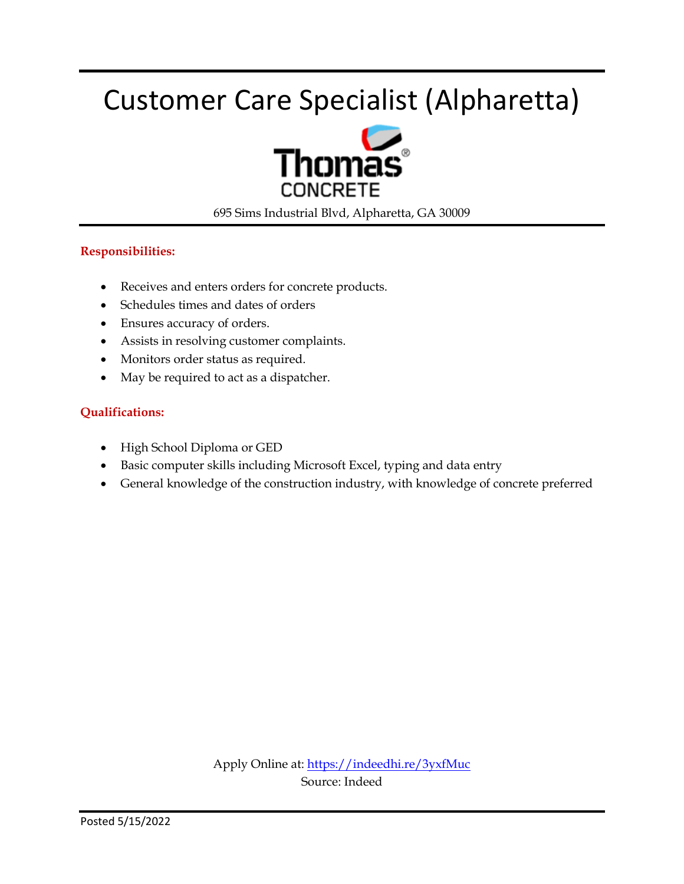# Customer Care Specialist (Alpharetta)



695 Sims Industrial Blvd, Alpharetta, GA 30009

#### **Responsibilities:**

- Receives and enters orders for concrete products.
- Schedules times and dates of orders
- Ensures accuracy of orders.
- Assists in resolving customer complaints.
- Monitors order status as required.
- May be required to act as a dispatcher.

#### **Qualifications:**

- High School Diploma or GED
- Basic computer skills including Microsoft Excel, typing and data entry
- General knowledge of the construction industry, with knowledge of concrete preferred

Apply Online at:<https://indeedhi.re/3yxfMuc> Source: Indeed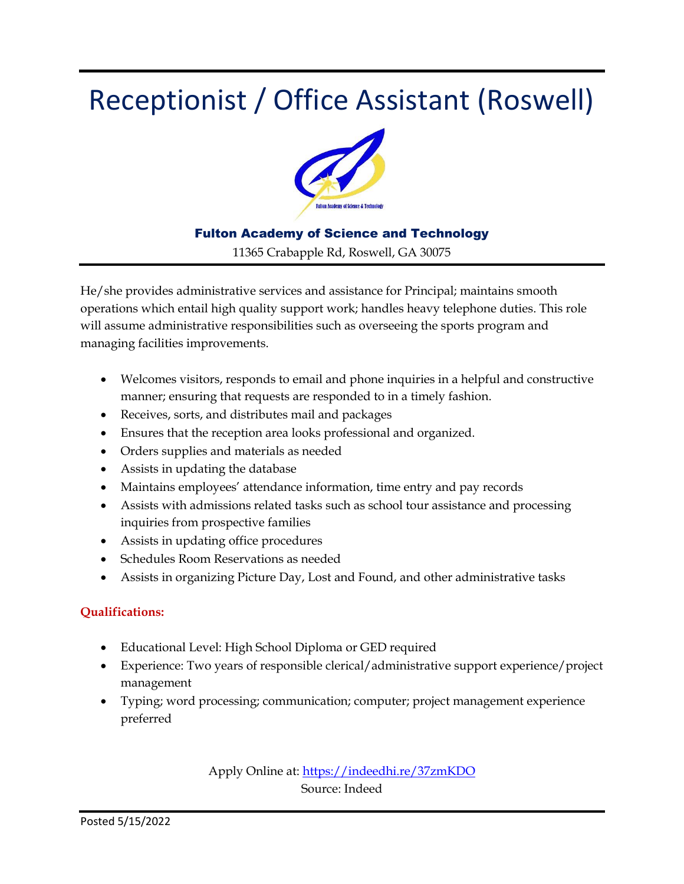## Receptionist / Office Assistant (Roswell)



#### Fulton Academy of Science and Technology

11365 Crabapple Rd, Roswell, GA 30075

He/she provides administrative services and assistance for Principal; maintains smooth operations which entail high quality support work; handles heavy telephone duties. This role will assume administrative responsibilities such as overseeing the sports program and managing facilities improvements.

- Welcomes visitors, responds to email and phone inquiries in a helpful and constructive manner; ensuring that requests are responded to in a timely fashion.
- Receives, sorts, and distributes mail and packages
- Ensures that the reception area looks professional and organized.
- Orders supplies and materials as needed
- Assists in updating the database
- Maintains employees' attendance information, time entry and pay records
- Assists with admissions related tasks such as school tour assistance and processing inquiries from prospective families
- Assists in updating office procedures
- Schedules Room Reservations as needed
- Assists in organizing Picture Day, Lost and Found, and other administrative tasks

#### **Qualifications:**

- Educational Level: High School Diploma or GED required
- Experience: Two years of responsible clerical/administrative support experience/project management
- Typing; word processing; communication; computer; project management experience preferred

Apply Online at:<https://indeedhi.re/37zmKDO> Source: Indeed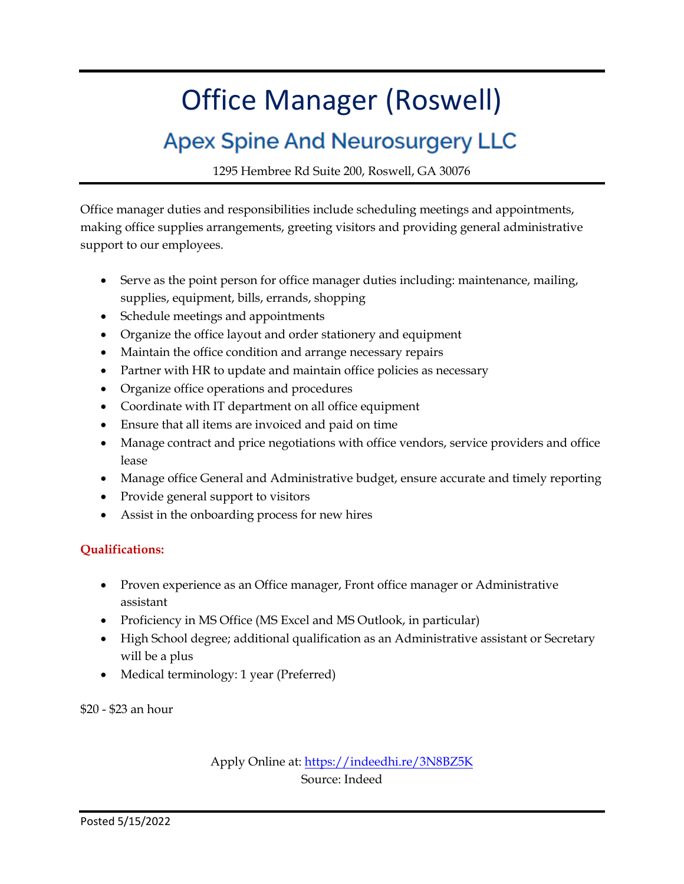# Office Manager (Roswell)

### **Apex Spine And Neurosurgery LLC**

1295 Hembree Rd Suite 200, Roswell, GA 30076

Office manager duties and responsibilities include scheduling meetings and appointments, making office supplies arrangements, greeting visitors and providing general administrative support to our employees.

- Serve as the point person for office manager duties including: maintenance, mailing, supplies, equipment, bills, errands, shopping
- Schedule meetings and appointments
- Organize the office layout and order stationery and equipment
- Maintain the office condition and arrange necessary repairs
- Partner with HR to update and maintain office policies as necessary
- Organize office operations and procedures
- Coordinate with IT department on all office equipment
- Ensure that all items are invoiced and paid on time
- Manage contract and price negotiations with office vendors, service providers and office lease
- Manage office General and Administrative budget, ensure accurate and timely reporting
- Provide general support to visitors
- Assist in the onboarding process for new hires

#### **Qualifications:**

- Proven experience as an Office manager, Front office manager or Administrative assistant
- Proficiency in MS Office (MS Excel and MS Outlook, in particular)
- High School degree; additional qualification as an Administrative assistant or Secretary will be a plus
- Medical terminology: 1 year (Preferred)

\$20 - \$23 an hour

Apply Online at[: https://indeedhi.re/3N8BZ5K](https://indeedhi.re/3N8BZ5K) Source: Indeed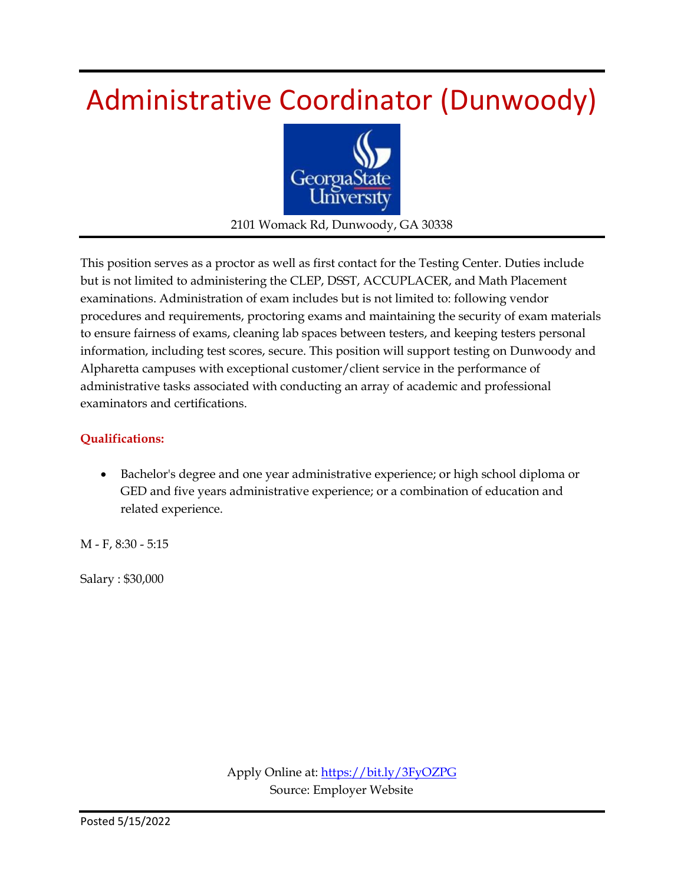## Administrative Coordinator (Dunwoody)



2101 Womack Rd, Dunwoody, GA 30338

This position serves as a proctor as well as first contact for the Testing Center. Duties include but is not limited to administering the CLEP, DSST, ACCUPLACER, and Math Placement examinations. Administration of exam includes but is not limited to: following vendor procedures and requirements, proctoring exams and maintaining the security of exam materials to ensure fairness of exams, cleaning lab spaces between testers, and keeping testers personal information, including test scores, secure. This position will support testing on Dunwoody and Alpharetta campuses with exceptional customer/client service in the performance of administrative tasks associated with conducting an array of academic and professional examinators and certifications.

#### **Qualifications:**

 Bachelor's degree and one year administrative experience; or high school diploma or GED and five years administrative experience; or a combination of education and related experience.

M - F, 8:30 - 5:15

Salary : \$30,000

Apply Online at:<https://bit.ly/3FyOZPG> Source: Employer Website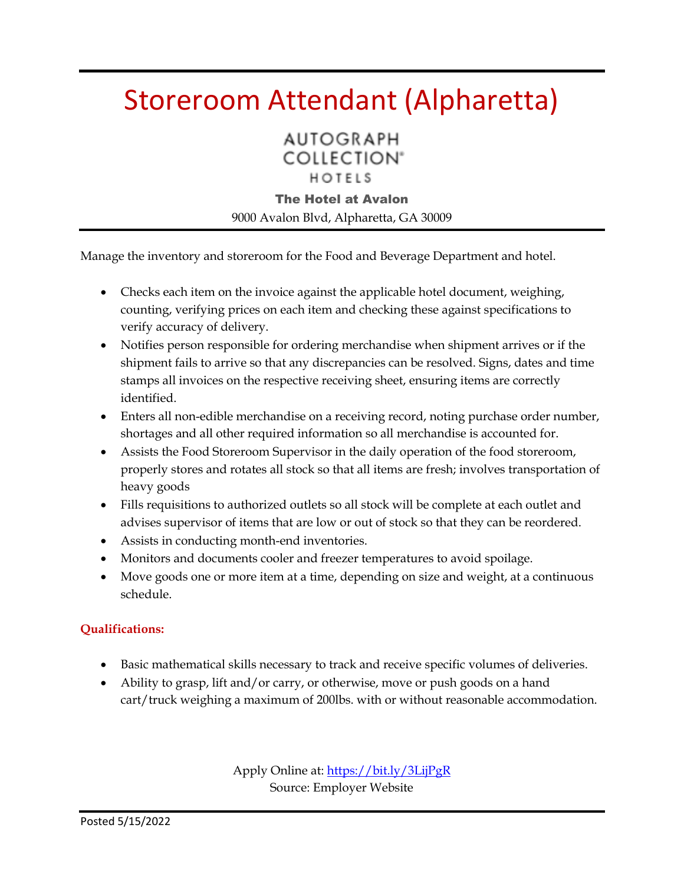### Storeroom Attendant (Alpharetta)

**AUTOGRAPH COLLECTION®** HOTELS

The Hotel at Avalon

9000 Avalon Blvd, Alpharetta, GA 30009

Manage the inventory and storeroom for the Food and Beverage Department and hotel.

- Checks each item on the invoice against the applicable hotel document, weighing, counting, verifying prices on each item and checking these against specifications to verify accuracy of delivery.
- Notifies person responsible for ordering merchandise when shipment arrives or if the shipment fails to arrive so that any discrepancies can be resolved. Signs, dates and time stamps all invoices on the respective receiving sheet, ensuring items are correctly identified.
- Enters all non-edible merchandise on a receiving record, noting purchase order number, shortages and all other required information so all merchandise is accounted for.
- Assists the Food Storeroom Supervisor in the daily operation of the food storeroom, properly stores and rotates all stock so that all items are fresh; involves transportation of heavy goods
- Fills requisitions to authorized outlets so all stock will be complete at each outlet and advises supervisor of items that are low or out of stock so that they can be reordered.
- Assists in conducting month-end inventories.
- Monitors and documents cooler and freezer temperatures to avoid spoilage.
- Move goods one or more item at a time, depending on size and weight, at a continuous schedule.

#### **Qualifications:**

- Basic mathematical skills necessary to track and receive specific volumes of deliveries.
- Ability to grasp, lift and/or carry, or otherwise, move or push goods on a hand cart/truck weighing a maximum of 200lbs. with or without reasonable accommodation.

Apply Online at:<https://bit.ly/3LijPgR> Source: Employer Website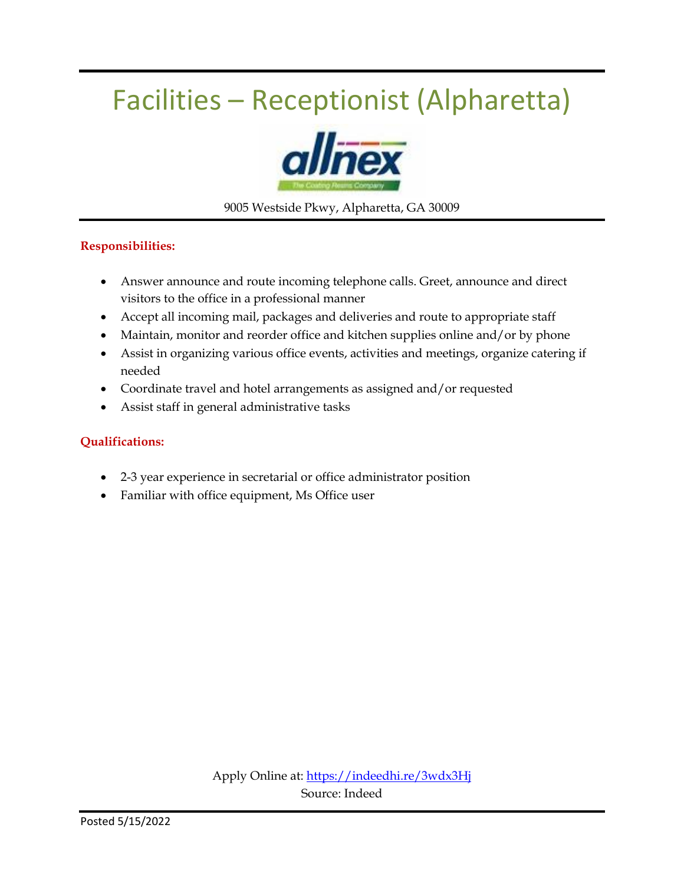# Facilities – Receptionist (Alpharetta)



9005 Westside Pkwy, Alpharetta, GA 30009

#### **Responsibilities:**

- Answer announce and route incoming telephone calls. Greet, announce and direct visitors to the office in a professional manner
- Accept all incoming mail, packages and deliveries and route to appropriate staff
- Maintain, monitor and reorder office and kitchen supplies online and/or by phone
- Assist in organizing various office events, activities and meetings, organize catering if needed
- Coordinate travel and hotel arrangements as assigned and/or requested
- Assist staff in general administrative tasks

#### **Qualifications:**

- 2-3 year experience in secretarial or office administrator position
- Familiar with office equipment, Ms Office user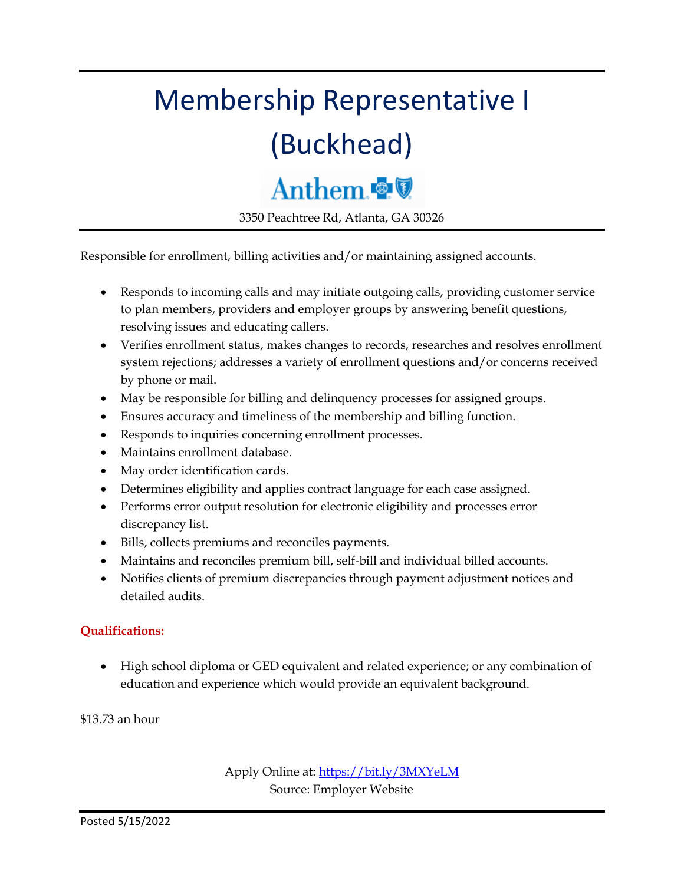# Membership Representative I (Buckhead)

### Anthem

3350 Peachtree Rd, Atlanta, GA 30326

Responsible for enrollment, billing activities and/or maintaining assigned accounts.

- Responds to incoming calls and may initiate outgoing calls, providing customer service to plan members, providers and employer groups by answering benefit questions, resolving issues and educating callers.
- Verifies enrollment status, makes changes to records, researches and resolves enrollment system rejections; addresses a variety of enrollment questions and/or concerns received by phone or mail.
- May be responsible for billing and delinquency processes for assigned groups.
- Ensures accuracy and timeliness of the membership and billing function.
- Responds to inquiries concerning enrollment processes.
- Maintains enrollment database.
- May order identification cards.
- Determines eligibility and applies contract language for each case assigned.
- Performs error output resolution for electronic eligibility and processes error discrepancy list.
- Bills, collects premiums and reconciles payments.
- Maintains and reconciles premium bill, self-bill and individual billed accounts.
- Notifies clients of premium discrepancies through payment adjustment notices and detailed audits.

#### **Qualifications:**

 High school diploma or GED equivalent and related experience; or any combination of education and experience which would provide an equivalent background.

\$13.73 an hour

Apply Online at:<https://bit.ly/3MXYeLM> Source: Employer Website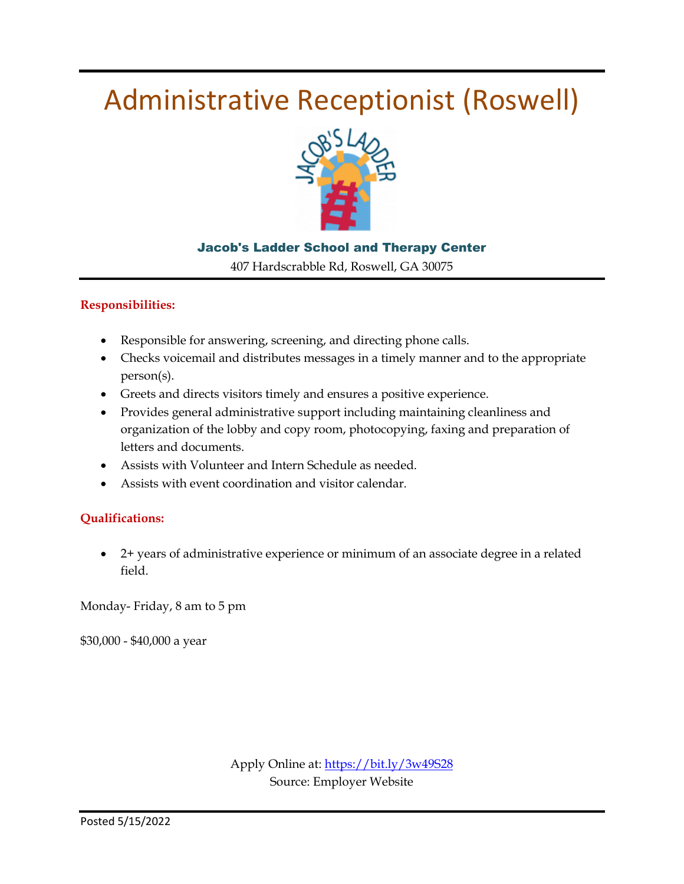### Administrative Receptionist (Roswell)



#### Jacob's Ladder School and Therapy Center

407 Hardscrabble Rd, Roswell, GA 30075

#### **Responsibilities:**

- Responsible for answering, screening, and directing phone calls.
- Checks voicemail and distributes messages in a timely manner and to the appropriate person(s).
- Greets and directs visitors timely and ensures a positive experience.
- Provides general administrative support including maintaining cleanliness and organization of the lobby and copy room, photocopying, faxing and preparation of letters and documents.
- Assists with Volunteer and Intern Schedule as needed.
- Assists with event coordination and visitor calendar.

#### **Qualifications:**

 2+ years of administrative experience or minimum of an associate degree in a related field.

Monday- Friday, 8 am to 5 pm

\$30,000 - \$40,000 a year

Apply Online at[: https://bit.ly/3w49S28](https://bit.ly/3w49S28) Source: Employer Website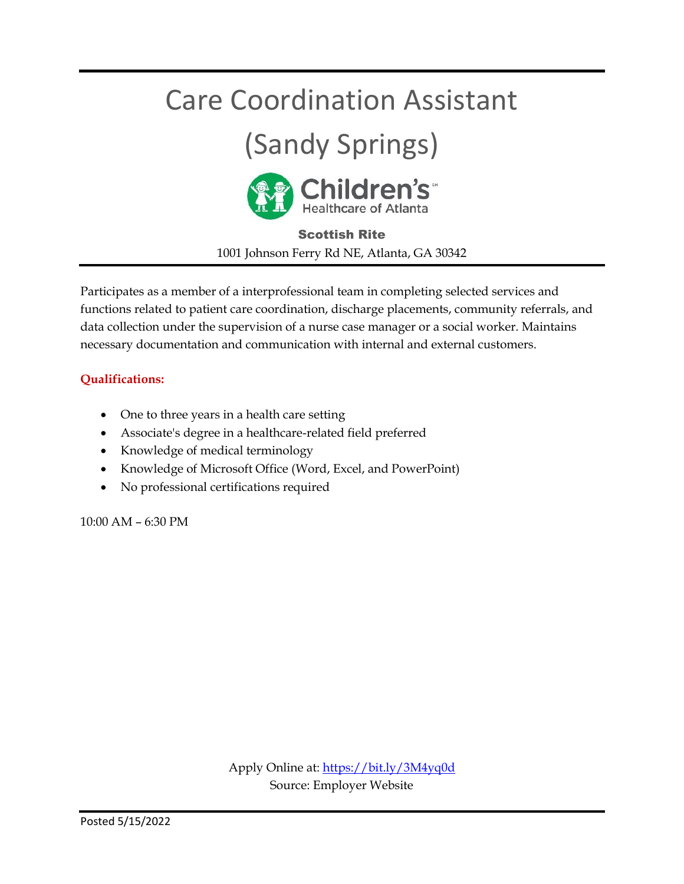### Care Coordination Assistant

# (Sandy Springs)



Scottish Rite 1001 Johnson Ferry Rd NE, Atlanta, GA 30342

Participates as a member of a interprofessional team in completing selected services and functions related to patient care coordination, discharge placements, community referrals, and data collection under the supervision of a nurse case manager or a social worker. Maintains necessary documentation and communication with internal and external customers.

#### **Qualifications:**

- One to three years in a health care setting
- Associate's degree in a healthcare-related field preferred
- Knowledge of medical terminology
- Knowledge of Microsoft Office (Word, Excel, and PowerPoint)
- No professional certifications required

10:00 AM – 6:30 PM

Apply Online at:<https://bit.ly/3M4yq0d> Source: Employer Website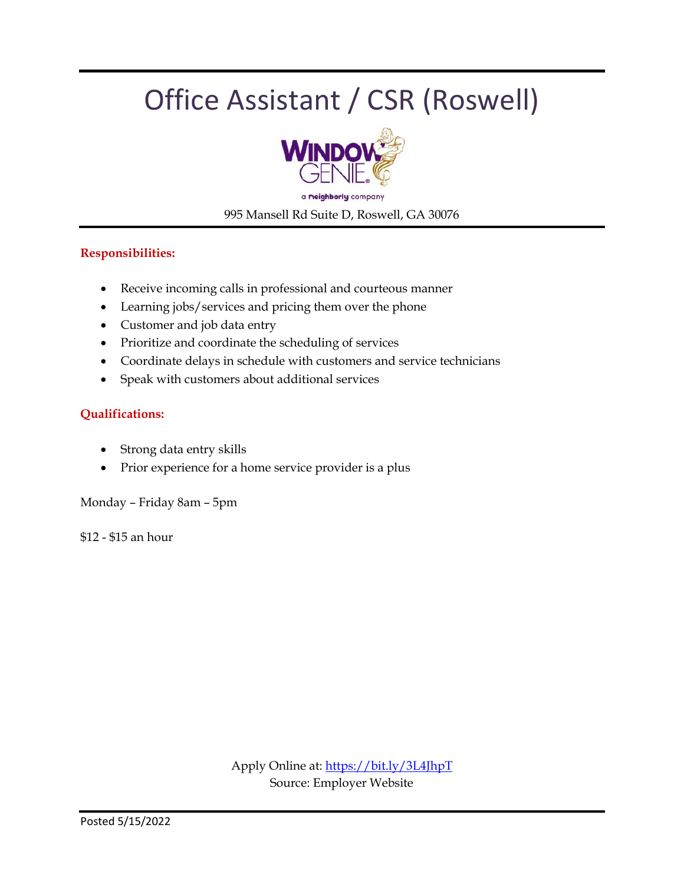# Office Assistant / CSR (Roswell)



995 Mansell Rd Suite D, Roswell, GA 30076

#### **Responsibilities:**

- Receive incoming calls in professional and courteous manner
- Learning jobs/services and pricing them over the phone
- Customer and job data entry
- Prioritize and coordinate the scheduling of services
- Coordinate delays in schedule with customers and service technicians
- Speak with customers about additional services

#### **Qualifications:**

- Strong data entry skills
- Prior experience for a home service provider is a plus

Monday – Friday 8am – 5pm

\$12 - \$15 an hour

Apply Online at:<https://bit.ly/3L4JhpT> Source: Employer Website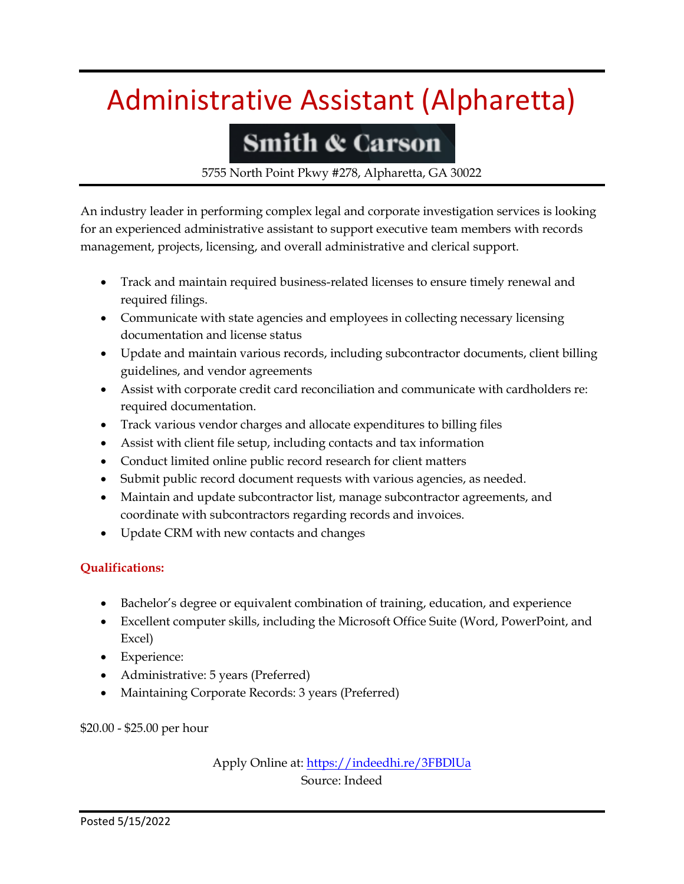# Administrative Assistant (Alpharetta)

### **Smith & Carson**

5755 North Point Pkwy #278, Alpharetta, GA 30022

An industry leader in performing complex legal and corporate investigation services is looking for an experienced administrative assistant to support executive team members with records management, projects, licensing, and overall administrative and clerical support.

- Track and maintain required business-related licenses to ensure timely renewal and required filings.
- Communicate with state agencies and employees in collecting necessary licensing documentation and license status
- Update and maintain various records, including subcontractor documents, client billing guidelines, and vendor agreements
- Assist with corporate credit card reconciliation and communicate with cardholders re: required documentation.
- Track various vendor charges and allocate expenditures to billing files
- Assist with client file setup, including contacts and tax information
- Conduct limited online public record research for client matters
- Submit public record document requests with various agencies, as needed.
- Maintain and update subcontractor list, manage subcontractor agreements, and coordinate with subcontractors regarding records and invoices.
- Update CRM with new contacts and changes

#### **Qualifications:**

- Bachelor's degree or equivalent combination of training, education, and experience
- Excellent computer skills, including the Microsoft Office Suite (Word, PowerPoint, and Excel)
- Experience:
- Administrative: 5 years (Preferred)
- Maintaining Corporate Records: 3 years (Preferred)

#### \$20.00 - \$25.00 per hour

Apply Online at: https://indeedhi.re/3FBDIUa Source: Indeed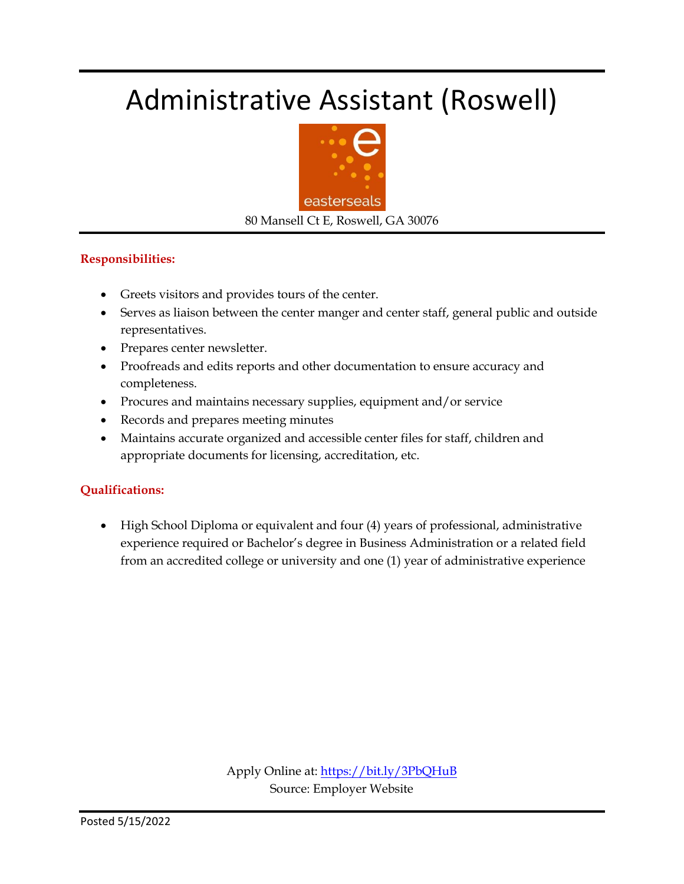## Administrative Assistant (Roswell)



80 Mansell Ct E, Roswell, GA 30076

#### **Responsibilities:**

- Greets visitors and provides tours of the center.
- Serves as liaison between the center manger and center staff, general public and outside representatives.
- Prepares center newsletter.
- Proofreads and edits reports and other documentation to ensure accuracy and completeness.
- Procures and maintains necessary supplies, equipment and/or service
- Records and prepares meeting minutes
- Maintains accurate organized and accessible center files for staff, children and appropriate documents for licensing, accreditation, etc.

#### **Qualifications:**

 High School Diploma or equivalent and four (4) years of professional, administrative experience required or Bachelor's degree in Business Administration or a related field from an accredited college or university and one (1) year of administrative experience

> Apply Online at:<https://bit.ly/3PbQHuB> Source: Employer Website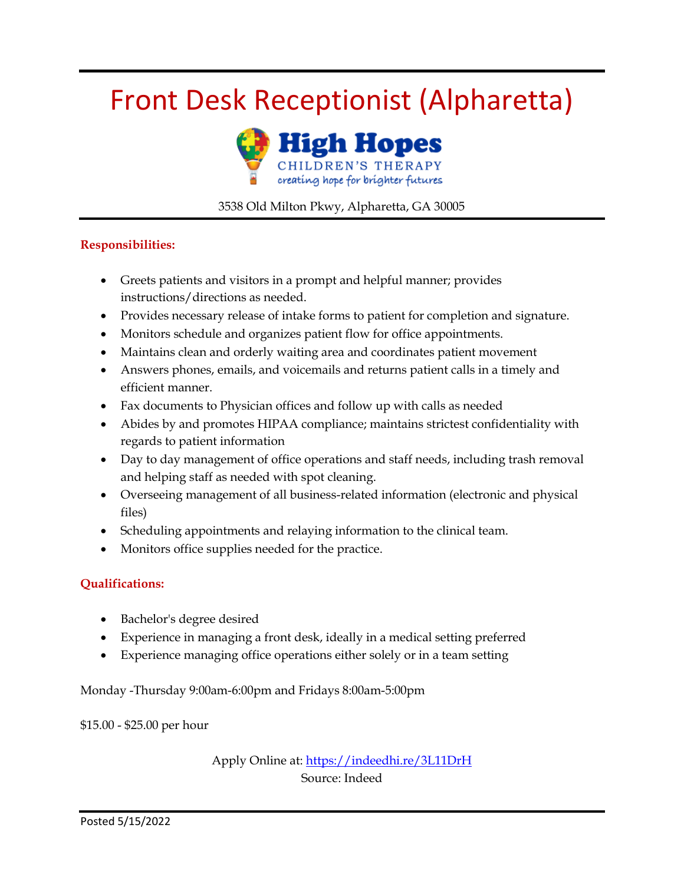# Front Desk Receptionist (Alpharetta)



#### 3538 Old Milton Pkwy, Alpharetta, GA 30005

#### **Responsibilities:**

- Greets patients and visitors in a prompt and helpful manner; provides instructions/directions as needed.
- Provides necessary release of intake forms to patient for completion and signature.
- Monitors schedule and organizes patient flow for office appointments.
- Maintains clean and orderly waiting area and coordinates patient movement
- Answers phones, emails, and voicemails and returns patient calls in a timely and efficient manner.
- Fax documents to Physician offices and follow up with calls as needed
- Abides by and promotes HIPAA compliance; maintains strictest confidentiality with regards to patient information
- Day to day management of office operations and staff needs, including trash removal and helping staff as needed with spot cleaning.
- Overseeing management of all business-related information (electronic and physical files)
- Scheduling appointments and relaying information to the clinical team.
- Monitors office supplies needed for the practice.

#### **Qualifications:**

- Bachelor's degree desired
- Experience in managing a front desk, ideally in a medical setting preferred
- Experience managing office operations either solely or in a team setting

Monday -Thursday 9:00am-6:00pm and Fridays 8:00am-5:00pm

\$15.00 - \$25.00 per hour

Apply Online at:<https://indeedhi.re/3L11DrH> Source: Indeed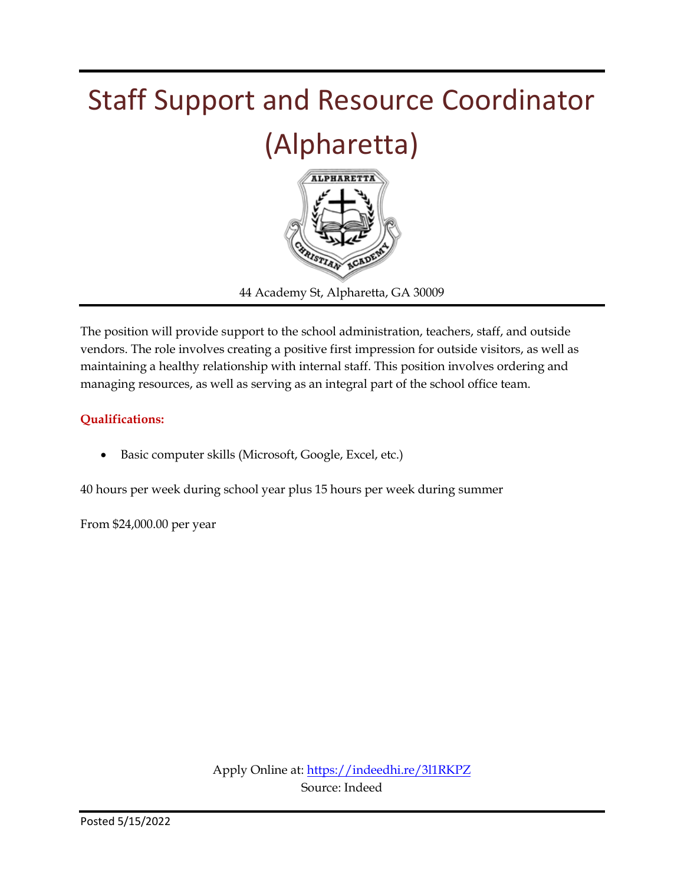

The position will provide support to the school administration, teachers, staff, and outside vendors. The role involves creating a positive first impression for outside visitors, as well as maintaining a healthy relationship with internal staff. This position involves ordering and managing resources, as well as serving as an integral part of the school office team.

#### **Qualifications:**

Basic computer skills (Microsoft, Google, Excel, etc.)

40 hours per week during school year plus 15 hours per week during summer

From \$24,000.00 per year

Apply Online at:<https://indeedhi.re/3l1RKPZ> Source: Indeed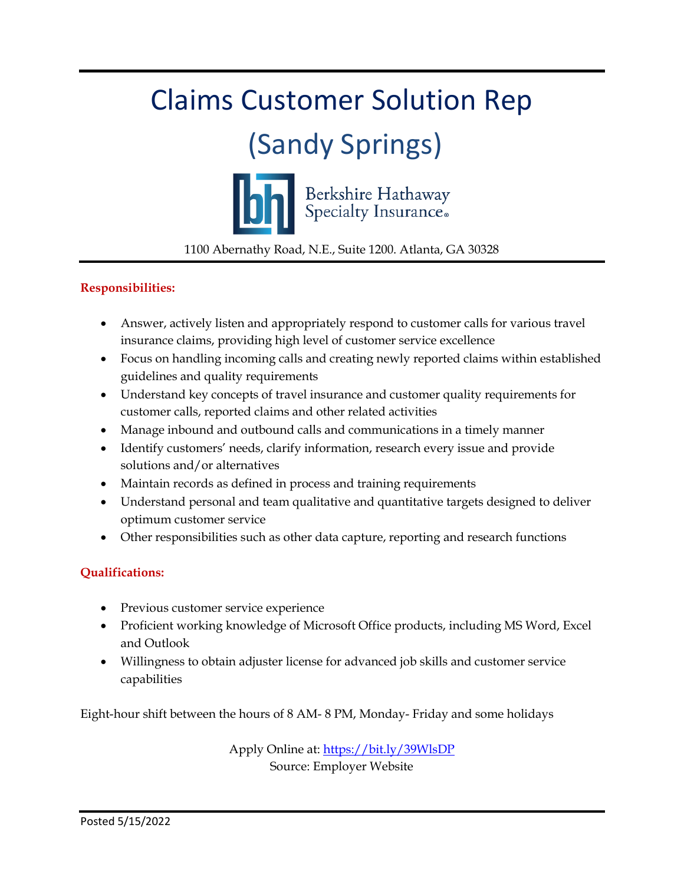# Claims Customer Solution Rep (Sandy Springs) Berkshire Hathaway<br>Specialty Insurance. 1100 Abernathy Road, N.E., Suite 1200. Atlanta, GA 30328

#### **Responsibilities:**

- Answer, actively listen and appropriately respond to customer calls for various travel insurance claims, providing high level of customer service excellence
- Focus on handling incoming calls and creating newly reported claims within established guidelines and quality requirements
- Understand key concepts of travel insurance and customer quality requirements for customer calls, reported claims and other related activities
- Manage inbound and outbound calls and communications in a timely manner
- Identify customers' needs, clarify information, research every issue and provide solutions and/or alternatives
- Maintain records as defined in process and training requirements
- Understand personal and team qualitative and quantitative targets designed to deliver optimum customer service
- Other responsibilities such as other data capture, reporting and research functions

#### **Qualifications:**

- Previous customer service experience
- Proficient working knowledge of Microsoft Office products, including MS Word, Excel and Outlook
- Willingness to obtain adjuster license for advanced job skills and customer service capabilities

Eight-hour shift between the hours of 8 AM- 8 PM, Monday- Friday and some holidays

Apply Online at:<https://bit.ly/39WlsDP> Source: Employer Website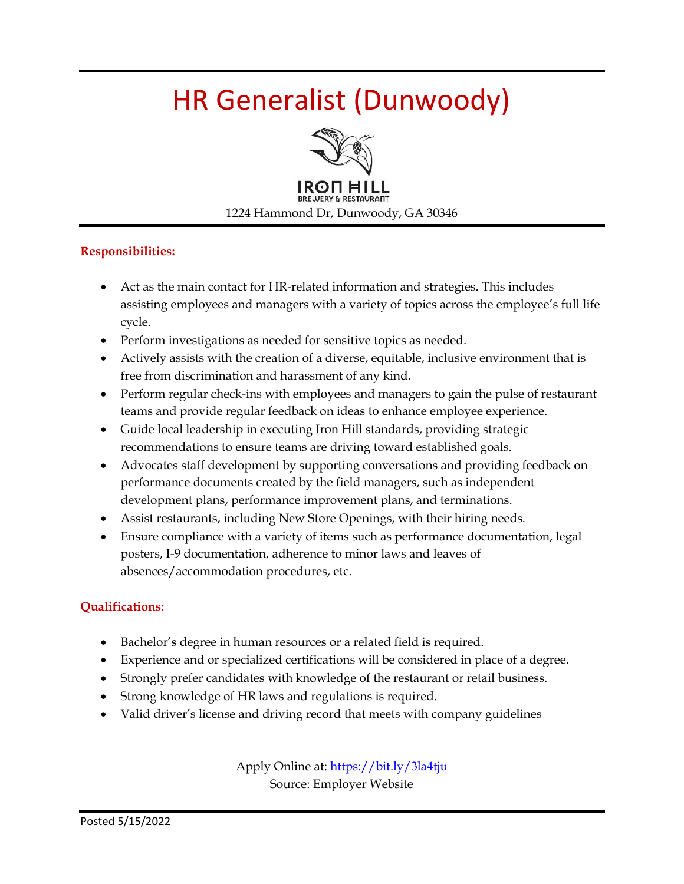# HR Generalist (Dunwoody)



#### **Responsibilities:**

- Act as the main contact for HR-related information and strategies. This includes assisting employees and managers with a variety of topics across the employee's full life cycle.
- Perform investigations as needed for sensitive topics as needed.
- Actively assists with the creation of a diverse, equitable, inclusive environment that is free from discrimination and harassment of any kind.
- Perform regular check-ins with employees and managers to gain the pulse of restaurant teams and provide regular feedback on ideas to enhance employee experience.
- Guide local leadership in executing Iron Hill standards, providing strategic recommendations to ensure teams are driving toward established goals.
- Advocates staff development by supporting conversations and providing feedback on performance documents created by the field managers, such as independent development plans, performance improvement plans, and terminations.
- Assist restaurants, including New Store Openings, with their hiring needs.
- Ensure compliance with a variety of items such as performance documentation, legal posters, I-9 documentation, adherence to minor laws and leaves of absences/accommodation procedures, etc.

#### **Qualifications:**

- Bachelor's degree in human resources or a related field is required.
- Experience and or specialized certifications will be considered in place of a degree.
- Strongly prefer candidates with knowledge of the restaurant or retail business.
- Strong knowledge of HR laws and regulations is required.
- Valid driver's license and driving record that meets with company guidelines

Apply Online at[: https://bit.ly/3la4tju](https://bit.ly/3la4tju) Source: Employer Website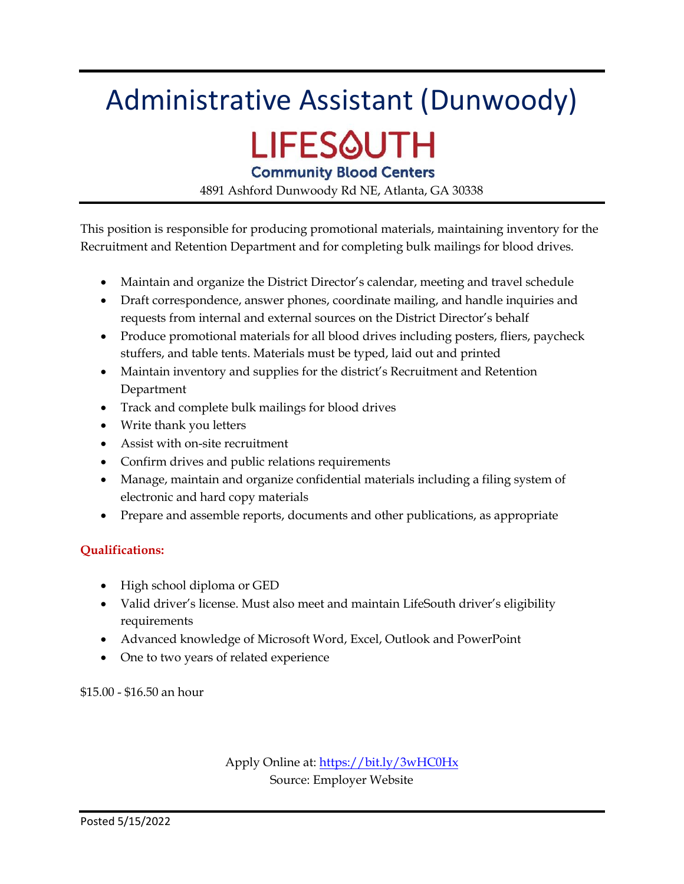# Administrative Assistant (Dunwoody) LIFES@UTH

**Community Blood Centers** 

4891 Ashford Dunwoody Rd NE, Atlanta, GA 30338

This position is responsible for producing promotional materials, maintaining inventory for the Recruitment and Retention Department and for completing bulk mailings for blood drives.

- Maintain and organize the District Director's calendar, meeting and travel schedule
- Draft correspondence, answer phones, coordinate mailing, and handle inquiries and requests from internal and external sources on the District Director's behalf
- Produce promotional materials for all blood drives including posters, fliers, paycheck stuffers, and table tents. Materials must be typed, laid out and printed
- Maintain inventory and supplies for the district's Recruitment and Retention Department
- Track and complete bulk mailings for blood drives
- Write thank you letters
- Assist with on-site recruitment
- Confirm drives and public relations requirements
- Manage, maintain and organize confidential materials including a filing system of electronic and hard copy materials
- Prepare and assemble reports, documents and other publications, as appropriate

#### **Qualifications:**

- High school diploma or GED
- Valid driver's license. Must also meet and maintain LifeSouth driver's eligibility requirements
- Advanced knowledge of Microsoft Word, Excel, Outlook and PowerPoint
- One to two years of related experience

\$15.00 - \$16.50 an hour

Apply Online at:<https://bit.ly/3wHC0Hx> Source: Employer Website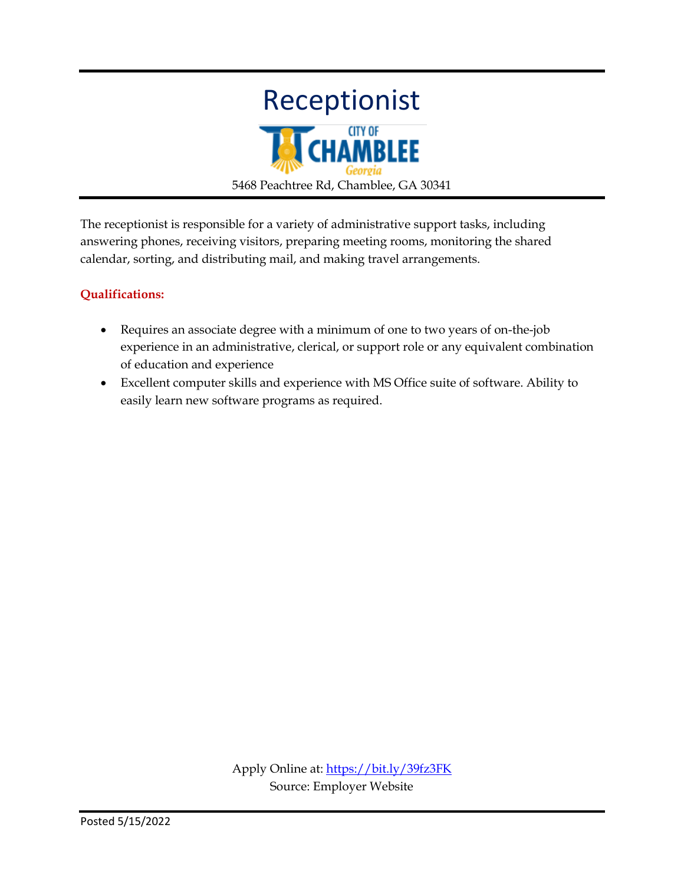

The receptionist is responsible for a variety of administrative support tasks, including answering phones, receiving visitors, preparing meeting rooms, monitoring the shared calendar, sorting, and distributing mail, and making travel arrangements.

#### **Qualifications:**

- Requires an associate degree with a minimum of one to two years of on-the-job experience in an administrative, clerical, or support role or any equivalent combination of education and experience
- Excellent computer skills and experience with MS Office suite of software. Ability to easily learn new software programs as required.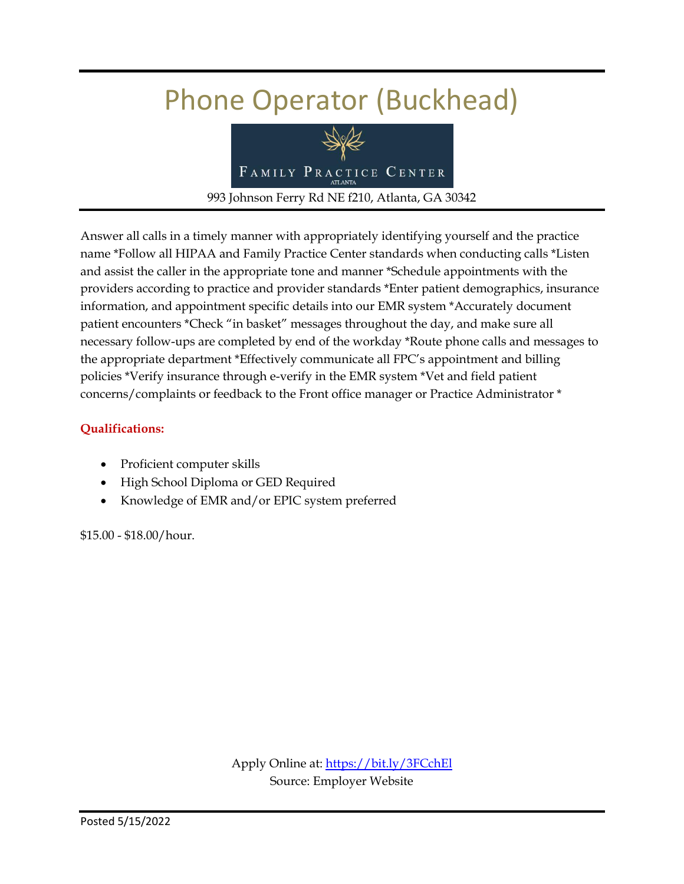# Phone Operator (Buckhead)



Answer all calls in a timely manner with appropriately identifying yourself and the practice name \*Follow all HIPAA and Family Practice Center standards when conducting calls \*Listen and assist the caller in the appropriate tone and manner \*Schedule appointments with the providers according to practice and provider standards \*Enter patient demographics, insurance information, and appointment specific details into our EMR system \*Accurately document patient encounters \*Check "in basket" messages throughout the day, and make sure all necessary follow-ups are completed by end of the workday \*Route phone calls and messages to the appropriate department \*Effectively communicate all FPC's appointment and billing policies \*Verify insurance through e-verify in the EMR system \*Vet and field patient concerns/complaints or feedback to the Front office manager or Practice Administrator \*

#### **Qualifications:**

- Proficient computer skills
- High School Diploma or GED Required
- Knowledge of EMR and/or EPIC system preferred

\$15.00 - \$18.00/hour.

Apply Online at[: https://bit.ly/3FCchEl](https://bit.ly/3FCchEl) Source: Employer Website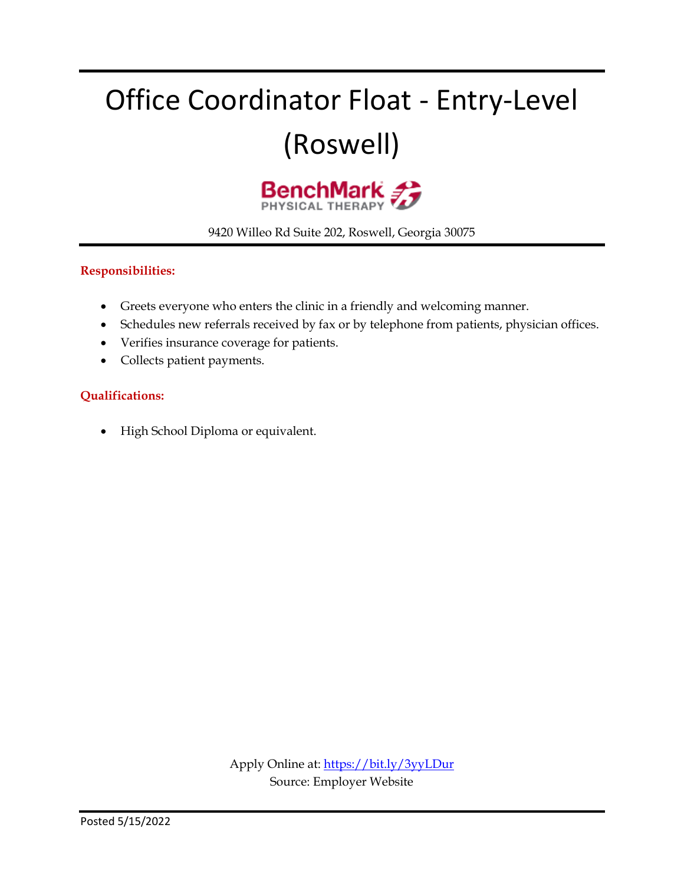# Office Coordinator Float - Entry-Level (Roswell)



9420 Willeo Rd Suite 202, Roswell, Georgia 30075

#### **Responsibilities:**

- Greets everyone who enters the clinic in a friendly and welcoming manner.
- Schedules new referrals received by fax or by telephone from patients, physician offices.
- Verifies insurance coverage for patients.
- Collects patient payments.

#### **Qualifications:**

• High School Diploma or equivalent.

Apply Online at:<https://bit.ly/3yyLDur> Source: Employer Website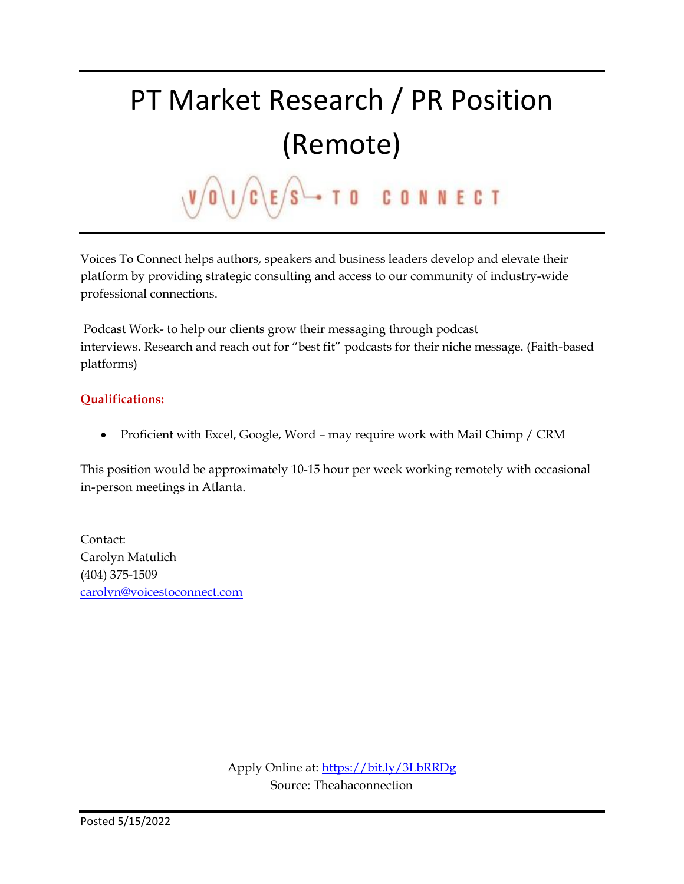### PT Market Research / PR Position (Remote) TO CONNECT  $\mathsf{s}$

Voices To Connect helps authors, speakers and business leaders develop and elevate their platform by providing strategic consulting and access to our community of industry-wide professional connections.

Podcast Work- to help our clients grow their messaging through podcast interviews. Research and reach out for "best fit" podcasts for their niche message. (Faith-based platforms)

#### **Qualifications:**

• Proficient with Excel, Google, Word - may require work with Mail Chimp / CRM

This position would be approximately 10-15 hour per week working remotely with occasional in-person meetings in Atlanta.

Contact: Carolyn Matulich (404) 375-1509 [carolyn@voicestoconnect.com](https://mail.google.com/mail/?view=cm&fs=1&tf=1&to=carolyn@voicestoconnect.com)

> Apply Online at:<https://bit.ly/3LbRRDg> Source: Theahaconnection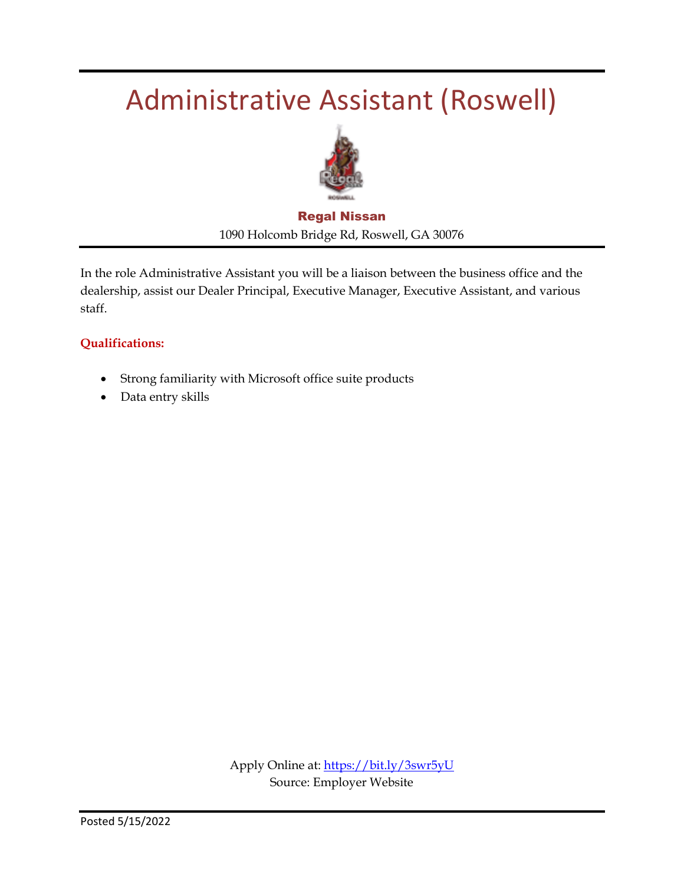### Administrative Assistant (Roswell)



#### Regal Nissan 1090 Holcomb Bridge Rd, Roswell, GA 30076

In the role Administrative Assistant you will be a liaison between the business office and the dealership, assist our Dealer Principal, Executive Manager, Executive Assistant, and various staff.

#### **Qualifications:**

- Strong familiarity with Microsoft office suite products
- Data entry skills

Apply Online at:<https://bit.ly/3swr5yU> Source: Employer Website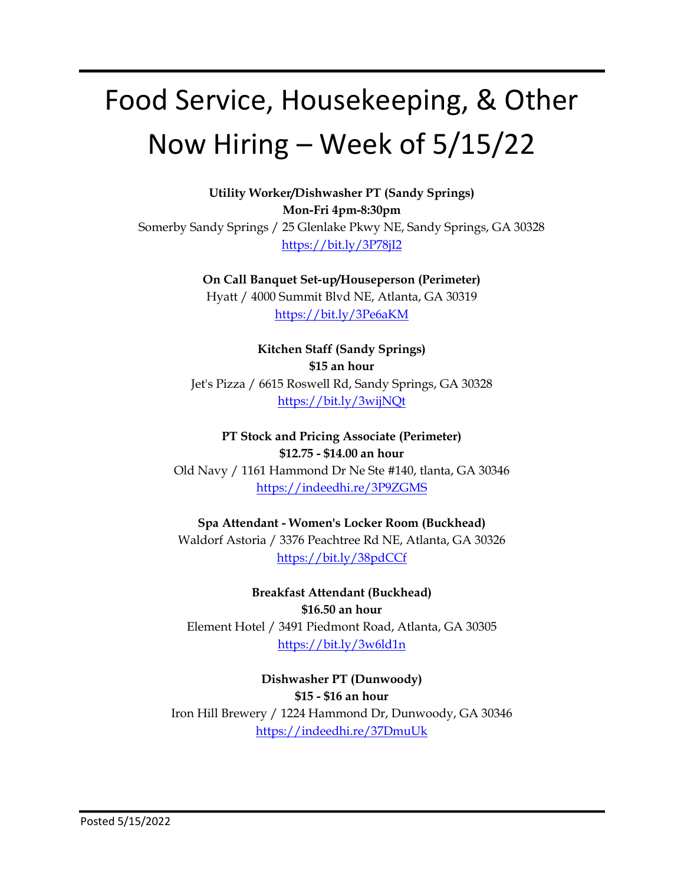# Food Service, Housekeeping, & Other Now Hiring – Week of 5/15/22

**Utility Worker/Dishwasher PT (Sandy Springs) Mon-Fri 4pm-8:30pm** Somerby Sandy Springs / 25 Glenlake Pkwy NE, Sandy Springs, GA 30328 <https://bit.ly/3P78jI2>

> **On Call Banquet Set-up/Houseperson (Perimeter)** Hyatt / 4000 Summit Blvd NE, Atlanta, GA 30319 <https://bit.ly/3Pe6aKM>

**Kitchen Staff (Sandy Springs) \$15 an hour** Jet's Pizza / 6615 Roswell Rd, Sandy Springs, GA 30328 <https://bit.ly/3wijNQt>

**PT Stock and Pricing Associate (Perimeter) \$12.75 - \$14.00 an hour** Old Navy / 1161 Hammond Dr Ne Ste #140, tlanta, GA 30346 <https://indeedhi.re/3P9ZGMS>

**Spa Attendant - Women's Locker Room (Buckhead)** Waldorf Astoria / 3376 Peachtree Rd NE, Atlanta, GA 30326 <https://bit.ly/38pdCCf>

**Breakfast Attendant (Buckhead) \$16.50 an hour** Element Hotel / 3491 Piedmont Road, Atlanta, GA 30305 <https://bit.ly/3w6ld1n>

**Dishwasher PT (Dunwoody) \$15 - \$16 an hour** Iron Hill Brewery / 1224 Hammond Dr, Dunwoody, GA 30346 <https://indeedhi.re/37DmuUk>